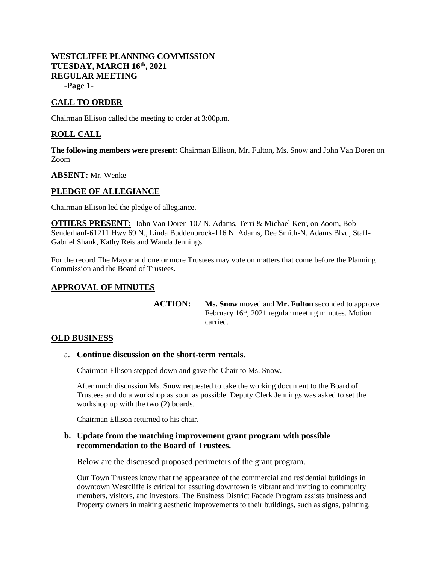# **WESTCLIFFE PLANNING COMMISSION TUESDAY, MARCH 16th, 2021 REGULAR MEETING -Page 1-**

# **CALL TO ORDER**

Chairman Ellison called the meeting to order at 3:00p.m.

# **ROLL CALL**

**The following members were present:** Chairman Ellison, Mr. Fulton, Ms. Snow and John Van Doren on Zoom

**ABSENT:** Mr. Wenke

### **PLEDGE OF ALLEGIANCE**

Chairman Ellison led the pledge of allegiance.

**OTHERS PRESENT:** John Van Doren-107 N. Adams, Terri & Michael Kerr, on Zoom, Bob Senderhauf-61211 Hwy 69 N., Linda Buddenbrock-116 N. Adams, Dee Smith-N. Adams Blvd, Staff-Gabriel Shank, Kathy Reis and Wanda Jennings.

For the record The Mayor and one or more Trustees may vote on matters that come before the Planning Commission and the Board of Trustees.

### **APPROVAL OF MINUTES**

**ACTION: Ms. Snow** moved and **Mr. Fulton** seconded to approve February 16th, 2021 regular meeting minutes. Motion carried.

### **OLD BUSINESS**

#### a. **Continue discussion on the short-term rentals**.

Chairman Ellison stepped down and gave the Chair to Ms. Snow.

After much discussion Ms. Snow requested to take the working document to the Board of Trustees and do a workshop as soon as possible. Deputy Clerk Jennings was asked to set the workshop up with the two (2) boards.

Chairman Ellison returned to his chair.

#### **b. Update from the matching improvement grant program with possible recommendation to the Board of Trustees.**

Below are the discussed proposed perimeters of the grant program.

Our Town Trustees know that the appearance of the commercial and residential buildings in downtown Westcliffe is critical for assuring downtown is vibrant and inviting to community members, visitors, and investors. The Business District Facade Program assists business and Property owners in making aesthetic improvements to their buildings, such as signs, painting,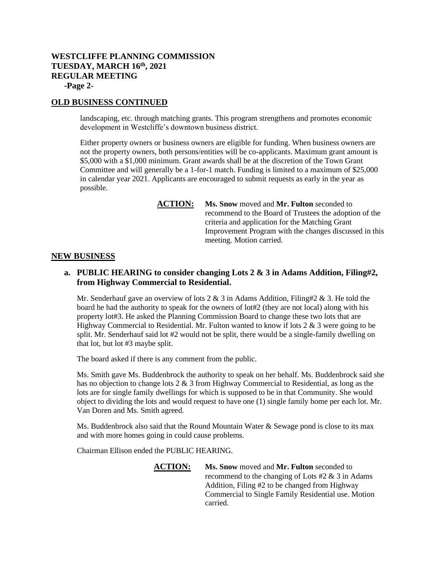# **WESTCLIFFE PLANNING COMMISSION TUESDAY, MARCH 16th, 2021 REGULAR MEETING -Page 2-**

### **OLD BUSINESS CONTINUED**

landscaping, etc. through matching grants. This program strengthens and promotes economic development in Westcliffe's downtown business district.

Either property owners or business owners are eligible for funding. When business owners are not the property owners, both persons/entities will be co-applicants. Maximum grant amount is \$5,000 with a \$1,000 minimum. Grant awards shall be at the discretion of the Town Grant Committee and will generally be a 1-for-1 match. Funding is limited to a maximum of \$25,000 in calendar year 2021. Applicants are encouraged to submit requests as early in the year as possible.

> **ACTION: Ms. Snow** moved and **Mr. Fulton** seconded to recommend to the Board of Trustees the adoption of the criteria and application for the Matching Grant Improvement Program with the changes discussed in this meeting. Motion carried.

#### **NEW BUSINESS**

### **a. PUBLIC HEARING to consider changing Lots 2 & 3 in Adams Addition, Filing#2, from Highway Commercial to Residential.**

Mr. Senderhauf gave an overview of lots 2  $\&$  3 in Adams Addition, Filing#2  $\&$  3. He told the board he had the authority to speak for the owners of lot#2 (they are not local) along with his property lot#3. He asked the Planning Commission Board to change these two lots that are Highway Commercial to Residential. Mr. Fulton wanted to know if lots  $2 \& 3$  were going to be split. Mr. Senderhauf said lot #2 would not be split, there would be a single-family dwelling on that lot, but lot #3 maybe split.

The board asked if there is any comment from the public.

Ms. Smith gave Ms. Buddenbrock the authority to speak on her behalf. Ms. Buddenbrock said she has no objection to change lots 2 & 3 from Highway Commercial to Residential, as long as the lots are for single family dwellings for which is supposed to be in that Community. She would object to dividing the lots and would request to have one (1) single family home per each lot. Mr. Van Doren and Ms. Smith agreed.

Ms. Buddenbrock also said that the Round Mountain Water & Sewage pond is close to its max and with more homes going in could cause problems.

Chairman Ellison ended the PUBLIC HEARING.

**ACTION: Ms. Snow** moved and **Mr. Fulton** seconded to recommend to the changing of Lots #2 & 3 in Adams Addition, Filing #2 to be changed from Highway Commercial to Single Family Residential use. Motion carried.